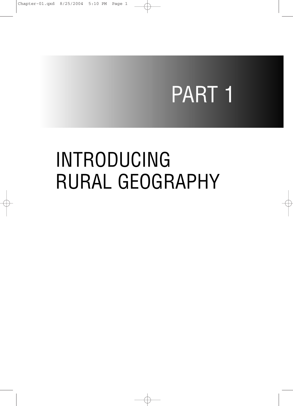# PART 1

# INTRODUCING RURAL GEOGRAPHY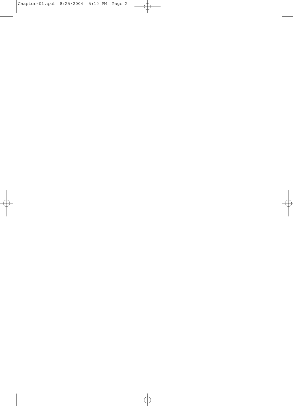$\bigoplus$ 

 $\oplus$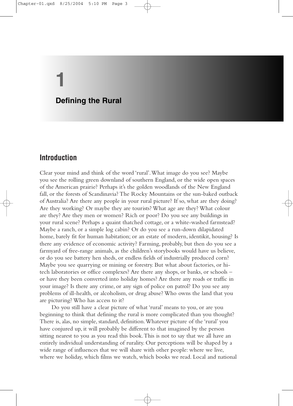

# **Introduction**

Clear your mind and think of the word 'rural'.What image do you see? Maybe you see the rolling green downland of southern England, or the wide open spaces of the American prairie? Perhaps it's the golden woodlands of the New England fall, or the forests of Scandinavia? The Rocky Mountains or the sun-baked outback of Australia? Are there any people in your rural picture? If so, what are they doing? Are they working? Or maybe they are tourists? What age are they? What colour are they? Are they men or women? Rich or poor? Do you see any buildings in your rural scene? Perhaps a quaint thatched cottage, or a white-washed farmstead? Maybe a ranch, or a simple log cabin? Or do you see a run-down dilapidated home, barely fit for human habitation; or an estate of modern, identikit, housing? Is there any evidence of economic activity? Farming, probably, but then do you see a farmyard of free-range animals, as the children's storybooks would have us believe, or do you see battery hen sheds, or endless fields of industrially produced corn? Maybe you see quarrying or mining or forestry. But what about factories, or hitech laboratories or office complexes? Are there any shops, or banks, or schools – or have they been converted into holiday homes? Are there any roads or traffic in your image? Is there any crime, or any sign of police on patrol? Do you see any problems of ill-health, or alcoholism, or drug abuse? Who owns the land that you are picturing? Who has access to it?

Do you still have a clear picture of what 'rural' means to you, or are you beginning to think that defining the rural is more complicated than you thought? There is, alas, no simple, standard, definition.Whatever picture of the 'rural' you have conjured up, it will probably be different to that imagined by the person sitting nearest to you as you read this book.This is not to say that we all have an entirely individual understanding of rurality. Our perceptions will be shaped by a wide range of influences that we will share with other people: where we live, where we holiday, which films we watch, which books we read. Local and national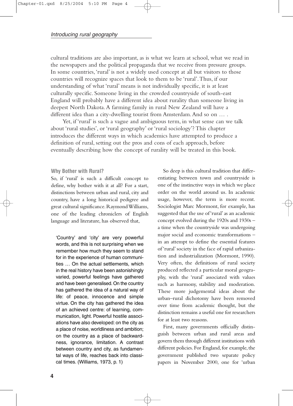cultural traditions are also important, as is what we learn at school, what we read in the newspapers and the political propaganda that we receive from pressure groups. In some countries,'rural' is not a widely used concept at all but visitors to those countries will recognize spaces that look to them to be 'rural'.Thus, if our understanding of what 'rural' means is not individually specific, it is at least culturally specific. Someone living in the crowded countryside of south-east England will probably have a different idea about rurality than someone living in deepest North Dakota.A farming family in rural New Zealand will have a different idea than a city-dwelling tourist from Amsterdam.And so on … .

Yet, if 'rural' is such a vague and ambiguous term, in what sense can we talk about 'rural studies', or 'rural geography' or 'rural sociology'? This chapter introduces the different ways in which academics have attempted to produce a definition of rural, setting out the pros and cons of each approach, before eventually describing how the concept of rurality will be treated in this book.

#### **Why Bother with Rural?**

So, if 'rural' is such a difficult concept to define, why bother with it at all? For a start, distinctions between urban and rural, city and country, have a long historical pedigree and great cultural significance.Raymond Williams, one of the leading chroniclers of English language and literature, has observed that,

'Country' and 'city' are very powerful words, and this is not surprising when we remember how much they seem to stand for in the experience of human communities … On the actual settlements, which in the real history have been astonishingly varied, powerful feelings have gathered and have been generalised. On the country has gathered the idea of a natural way of life: of peace, innocence and simple virtue. On the city has gathered the idea of an achieved centre: of learning, communication, light. Powerful hostile associations have also developed: on the city as a place of noise, worldliness and ambition; on the country as a place of backwardness, ignorance, limitation. A contrast between country and city, as fundamental ways of life, reaches back into classical times. (Williams, 1973, p. 1)

So deep is this cultural tradition that differentiating between town and countryside is one of the instinctive ways in which we place order on the world around us. In academic usage, however, the term is more recent. Sociologist Marc Mormont, for example, has suggested that the use of 'rural' as an academic concept evolved during the 1920s and 1930s – a time when the countryside was undergoing major social and economic transformations – in an attempt to define the essential features of 'rural' society in the face of rapid urbanization and industrialization (Mormont, 1990). Very often, the definitions of rural society produced reflected a particular moral geography, with the 'rural' associated with values such as harmony, stability and moderation. These more judgemental ideas about the urban–rural dichotomy have been removed over time from academic thought, but the distinction remains a useful one for researchers for at least two reasons.

First, many governments officially distinguish between urban and rural areas and govern them through different institutions with different policies. For England, for example, the government published two separate policy papers in November 2000, one for 'urban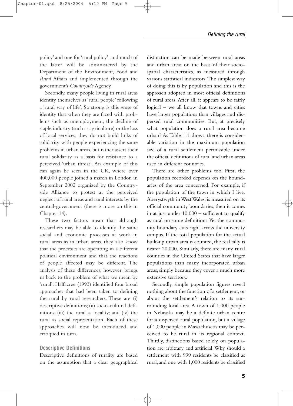policy' and one for 'rural policy', and much of the latter will be administered by the Department of the Environment, Food and *Rural* Affairs and implemented through the government's *Countryside* Agency.

Secondly, many people living in rural areas identify themselves as 'rural people' following a 'rural way of life'. So strong is this sense of identity that when they are faced with problems such as unemployment, the decline of staple industry (such as agriculture) or the loss of local services, they do not build links of solidarity with people experiencing the same problems in urban areas, but rather assert their rural solidarity as a basis for resistance to a perceived 'urban threat'. An example of this can again be seen in the UK, where over 400,000 people joined a march in London in September 2002 organized by the Countryside Alliance to protest at the perceived neglect of rural areas and rural interests by the central-government (there is more on this in Chapter 14).

These two factors mean that although researchers may be able to identify the same social and economic processes at work in rural areas as in urban areas, they also know that the processes are operating in a different political environment and that the reactions of people affected may be different. The analysis of these differences, however, brings us back to the problem of what we mean by 'rural'. Halfacree (1993) identified four broad approaches that had been taken to defining the rural by rural researchers. These are (i) descriptive definitions; (ii) socio-cultural definitions; (iii) the rural as locality; and (iv) the rural as social representation. Each of these approaches will now be introduced and critiqued in turn.

#### **Descriptive Definitions**

Descriptive definitions of rurality are based on the assumption that a clear geographical distinction can be made between rural areas and urban areas on the basis of their sociospatial characteristics, as measured through various statistical indicators.The simplest way of doing this is by population and this is the approach adopted in most official definitions of rural areas. After all, it appears to be fairly logical – we all know that towns and cities have larger populations than villages and dispersed rural communities. But, at precisely what population does a rural area become urban? As Table 1.1 shows, there is considerable variation in the maximum population size of a rural settlement permissible under the official definitions of rural and urban areas used in different countries.

There are other problems too. First, the population recorded depends on the boundaries of the area concerned. For example, if the population of the town in which I live, Aberystwyth in West Wales, is measured on its official community boundaries, then it comes in at just under 10,000 – sufficient to qualify as rural on some definitions.Yet the community boundary cuts right across the university campus. If the total population for the actual built-up urban area is counted, the real tally is nearer 20,000. Similarly, there are many rural counties in the United States that have larger populations than many incorporated urban areas, simply because they cover a much more extensive territory.

Secondly, simple population figures reveal nothing about the function of a settlement, or about the settlement's relation to its surrounding local area. A town of 1,000 people in Nebraska may be a definite urban centre for a dispersed rural population, but a village of 1,000 people in Massachusetts may be perceived to be rural in its regional context. Thirdly, distinctions based solely on population are arbitrary and artificial.Why should a settlement with 999 residents be classified as rural, and one with 1,000 residents be classified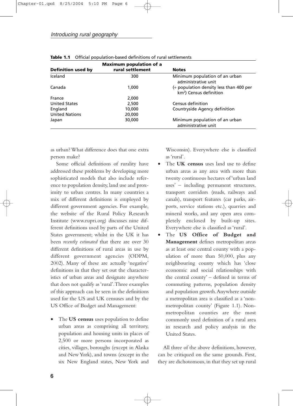|                           | <b>Maximum population of a</b> |                                                                                |
|---------------------------|--------------------------------|--------------------------------------------------------------------------------|
| <b>Definition used by</b> | rural settlement               | <b>Notes</b>                                                                   |
| Iceland                   | 300                            | Minimum population of an urban<br>administrative unit                          |
| Canada                    | 1,000                          | (+ population density less than 400 per<br>km <sup>2</sup> ) Census definition |
| France                    | 2,000                          |                                                                                |
| <b>United States</b>      | 2,500                          | Census definition                                                              |
| England                   | 10,000                         | Countryside Agency definition                                                  |
| <b>United Nations</b>     | 20,000                         |                                                                                |
| Japan                     | 30,000                         | Minimum population of an urban<br>administrative unit                          |

**Table 1.1** Official population-based definitions of rural settlements

as urban? What difference does that one extra person make?

Some official definitions of rurality have addressed these problems by developing more sophisticated models that also include reference to population density, land use and proximity to urban centres. In many countries a mix of different definitions is employed by different government agencies. For example, the website of the Rural Policy Research Institute (www.rupri.org) discusses nine different definitions used by parts of the United States government; whilst in the UK it has been *recently estimated* that there are over 30 different definitions of rural areas in use by different government agencies (ODPM, 2002). Many of these are actually 'negative' definitions in that they set out the characteristics of urban areas and designate anywhere that does not qualify as 'rural'.Three examples of this approach can be seen in the definitions used for the US and UK censuses and by the US Office of Budget and Management:

The **US census** uses population to define urban areas as comprising all territory, population and housing units in places of 2,500 or more persons incorporated as cities, villages, boroughs (except in Alaska and New York), and towns (except in the six New England states, New York and Wisconsin). Everywhere else is classified as 'rural'.

- The **UK census** uses land use to define urban areas as any area with more than twenty continuous hectares of 'urban land uses' – including permanent structures, transport corridors (roads, railways and canals), transport features (car parks, airports, service stations etc.), quarries and mineral works, and any open area completely enclosed by built-up sites. Everywhere else is classified as 'rural'.
- The **US** Office of Budget and **Management** defines metropolitan areas as at least one central county with a population of more than 50,000, plus any neighbouring county which has 'close economic and social relationships with the central county' – defined in terms of commuting patterns, population density and population growth.Anywhere outside a metropolitan area is classified as a 'nonmetropolitan county' (Figure 1.1). Nonmetropolitan counties are the most commonly used definition of a rural area in research and policy analysis in the United States.

All three of the above definitions, however, can be critiqued on the same grounds. First, they are dichotomous, in that they set up rural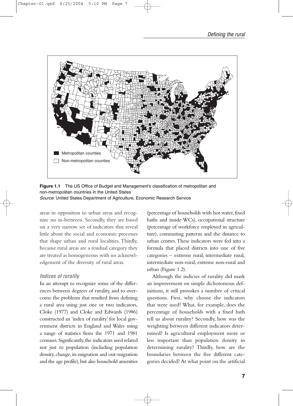

**Figure 1.1** The US Office of Budget and Management's classification of metropolitan and non-metropolitan countries in the United States Source: United States Department of Agriculture, Economic Research Service

areas in opposition to urban areas and recognize no in-between. Secondly, they are based on a very narrow set of indicators that reveal little about the social and economic processes that shape urban and rural localities. Thirdly, because rural areas are a residual category they are treated as homogeneous with no acknowledgement of the diversity of rural areas.

#### **Indices of rurality**

In an attempt to recognize some of the differences between degrees of rurality, and to overcome the problems that resulted from defining a rural area using just one or two indicators, Cloke (1977) and Cloke and Edwards (1986) constructed an 'index of rurality' for local government districts in England and Wales using a range of statistics from the 1971 and 1981 censuses.Significantly,the indicators used related not just to population (including population density, change, in-migration and out-migration and the age profile), but also household amenities

(percentage of households with hot water, fixed baths and inside WCs), occupational structure (percentage of workforce employed in agriculture), commuting patterns and the distance to urban centres.These indicators were fed into a formula that placed districts into one of five categories – extreme rural, intermediate rural, intermediate non-rural, extreme non-rural and urban (Figure 1.2).

Although the indicies of rurality did mark an improvement on simple dichotomous definitions, it still provokes a number of critical questions. First, why choose the indicators that were used? What, for example, does the percentage of households with a fixed bath tell us about rurality? Secondly, how was the weighting between different indicators determined? Is agricultural employment more or less important than population density in determining rurality? Thirdly, how are the boundaries between the five different categories decided? At what point on the artificial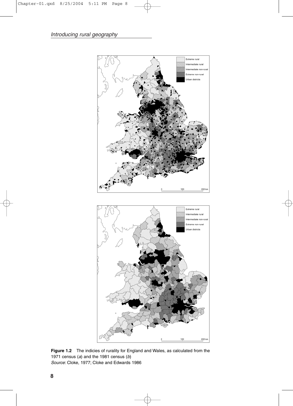

**Figure 1.2** The indicies of rurality for England and Wales, as calculated from the 1971 census (a) and the 1981 census  $(b)$ Source: Cloke, 1977; Cloke and Edwards 1986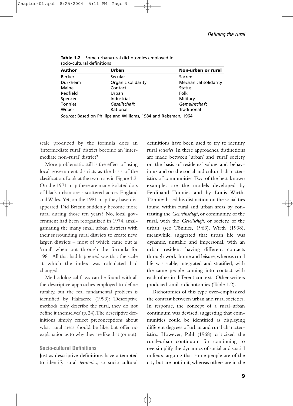| Author        | Urban              | Non-urban or rural    |
|---------------|--------------------|-----------------------|
| <b>Becker</b> | Secular            | Sacred                |
| Durkheim      | Organic solidarity | Mechanical solidarity |
| Maine         | Contact            | <b>Status</b>         |
| Redfield      | Urban              | Folk                  |
| Spencer       | Industrial         | Military              |
| Tönnies       | Gesellschaft       | Gemeinschaft          |
| Weber         | Rational           | Traditional           |

**Table 1.2** Some urban/rural dichotomies employed in socio-cultural definitions

*Source*: Based on Phillips and Williams, 1984 and Reissman, 1964

scale produced by the formula does an 'intermediate rural' district become an 'intermediate non-rural' district?

More problematic still is the effect of using local government districts as the basis of the classification.Look at the two maps in Figure 1.2. On the 1971 map there are many isolated dots of black urban areas scattered across England and Wales. Yet, on the 1981 map they have disappeared. Did Britain suddenly become more rural during those ten years? No, local government had been reorganized in 1974, amalgamating the many small urban districts with their surrounding rural districts to create new, larger, districts – most of which came out as 'rural' when put through the formula for 1981.All that had happened was that the scale at which the index was calculated had changed.

Methodological flaws can be found with all the descriptive approaches employed to define rurality, but the real fundamental problem is identified by Halfacree (1993): 'Descriptive methods only describe the rural, they do not define it themselves'(p.24).The descriptive definitions simply reflect preconceptions about what rural areas should be like, but offer no explanation as to why they are like that (or not).

#### **Socio-cultural Definitions**

Just as descriptive definitions have attempted to identify rural *territories*, so socio-cultural definitions have been used to try to identity rural *societies*. In these approaches, distinctions are made between 'urban' and 'rural' society on the basis of residents' values and behaviours and on the social and cultural characteristics of communities.Two of the best-known examples are the models developed by Ferdinand Tönnies and by Louis Wirth. Tönnies based his distinction on the social ties found within rural and urban areas by contrasting the *Gemeinschaft*, or community, of the rural, with the *Gesellschaft*, or society, of the urban (see Tönnies, 1963). Wirth (1938), meanwhile, suggested that urban life was dynamic, unstable and impersonal, with an urban resident having different contacts through work, home and leisure, whereas rural life was stable, integrated and stratified, with the same people coming into contact with each other in different contexts. Other writers produced similar dichotomies (Table 1.2).

Dichotomies of this type over-emphasized the contrast between urban and rural societies. In response, the concept of a rural–urban continuum was devised, suggesting that communities could be identified as displaying different degrees of urban and rural characteristics. However, Pahl (1968) criticized the rural–urban continuum for continuing to oversimplify the dynamics of social and spatial milieux, arguing that 'some people are of the city but are not in it, whereas others are in the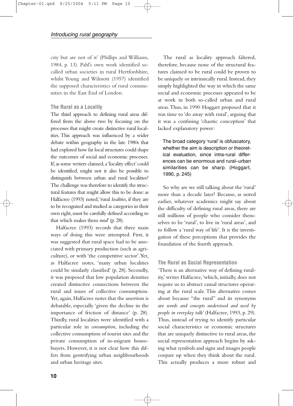city but are not of it' (Phillips and Williams, 1984, p. 13). Pahl's own work identified socalled urban societies in rural Hertfordshire, whilst Young and Wilmott (1957) identified the supposed characteristics of rural communities in the East End of London.

#### **The Rural as a Locality**

The third approach to defining rural areas differed from the above two by focusing on the processes that might create distinctive rural localities. This approach was influenced by a wider debate within geography in the late 1980s that had explored how far local structures could shape the outcomes of social and economic processes. If, as some writers claimed, a 'locality effect' could be identified, might not it also be possible to distinguish between urban and rural localities? The challenge was therefore to identify the structural features that might allow this to be done: as Halfacree (1993) noted,'rural *localities*, if they are to be recognised and studied as categories in their own right, must be carefully defined according to that which makes them *rural*' (p. 28).

Halfacree (1993) records that three main ways of doing this were attempted. First, it was suggested that rural space had to be associated with primary production (such as agriculture), or with 'the competitive sector'.Yet, as Halfacree notes, 'many urban localities could be similarly classified' (p. 28). Secondly, it was proposed that low population densities created distinctive connections between the rural and issues of collective consumption. Yet, again, Halfacree notes that the assertion is debatable, especially 'given the decline in the importance of friction of distance' (p. 28). Thirdly, rural localities were identified with a particular role in *consumption*, including the collective consumption of tourist sites and the private consumption of in-migrant housebuyers. However, it is not clear how this differs from gentrifying urban neighbourhoods and urban heritage sites.

The rural as locality approach faltered, therefore, because none of the structural features claimed to be rural could be proven to be uniquely or intrinsically rural. Instead, they simply highlighted the way in which the same social and economic processes appeared to be at work in both so-called urban and rural areas.Thus, in 1990 Hoggart proposed that it was time to 'do away with rural', arguing that it was a confusing 'chaotic conception' that lacked explanatory power:

The broad category 'rural' is obfuscatory, whether the aim is description or theoretical evaluation, since intra-rural differences can be enormous and rural–urban similarities can be sharp. (Hoggart, 1990, p. 245)

So why are we still talking about the 'rural' more than a decade later? Because, as noted earlier, whatever academics might say about the difficulty of defining rural areas, there are still millions of people who consider themselves to be 'rural', to live in 'rural areas', and to follow a 'rural way of life'. It is the investigation of these perceptions that provides the foundation of the fourth approach.

#### **The Rural as Social Representation**

'There is an alternative way of defining rurality,' writes Halfacree,'which, initially, does not require us to abstract causal structures operating at the rural scale. This alternative comes about because "the rural" and its synonyms are *words and concepts understood and used by people in everyday talk*' (Halfacree, 1993, p. 29). Thus, instead of trying to identify particular social characteristics or economic structures that are uniquely distinctive to rural areas, the social representation approach begins by asking what symbols and signs and images people conjure up when they think about the rural. This actually produces a more robust and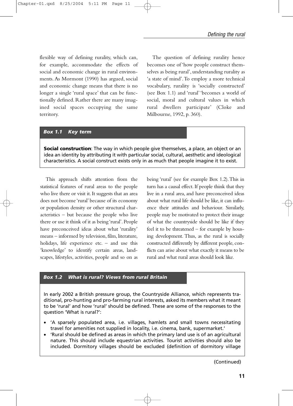flexible way of defining rurality, which can, for example, accommodate the effects of social and economic change in rural environments. As Mormont (1990) has argued, social and economic change means that there is no longer a single 'rural space' that can be functionally defined. Rather there are many imagined social spaces occupying the same territory.

The question of defining rurality hence becomes one of 'how people construct themselves as being rural', understanding rurality as 'a state of mind'.To employ a more technical vocabulary, rurality is 'socially constructed' (see Box 1.1) and 'rural' 'becomes a world of social, moral and cultural values in which rural dwellers participate' (Cloke and Milbourne, 1992, p. 360).

#### *Box 1.1 Key term*

**Social construction**: The way in which people give themselves, a place, an object or an idea an identity by attributing it with particular social, cultural, aesthetic and ideological characteristics. A social construct exists only in as much that people imagine it to exist.

This approach shifts attention from the statistical features of rural areas to the people who live there or visit it.It suggests that an area does not become 'rural'because of its economy or population density or other structural characteristics – but because the people who live there or use it think of it as being 'rural'. People have preconceived ideas about what 'rurality' means – informed by television, film, literature, holidays, life experience etc. – and use this 'knowledge' to identify certain areas, landscapes, lifestyles, activities, people and so on as

being 'rural' (see for example Box 1.2).This in turn has a causal effect. If people think that they live in a rural area, and have preconceived ideas about what rural life should be like, it can influence their attitudes and behaviour. Similarly, people may be motivated to protect their image of what the countryside should be like if they feel it to be threatened – for example by housing development. Thus, as the rural is socially constructed differently by different people, conflicts can arise about what exactly it means to be rural and what rural areas should look like.

### *Box 1.2 What is rural? Views from rural Britain*

In early 2002 a British pressure group, the Countryside Alliance, which represents traditional, pro-hunting and pro-farming rural interests, asked its members what it meant to be 'rural' and how 'rural' should be defined. These are some of the responses to the question 'What is rural?':

- 'A sparsely populated area, i.e. villages, hamlets and small towns necessitating travel for amenities not supplied in locality, i.e. cinema, bank, supermarket.'
- 'Rural should be defined as areas in which the primary land use is of an agricultural nature. This should include equestrian activities. Tourist activities should also be included. Dormitory villages should be excluded (definition of dormitory village

(Continued)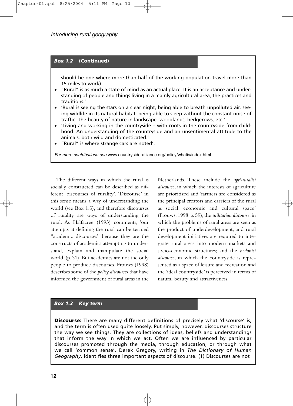#### *Box 1.2* **(Continued)**

should be one where more than half of the working population travel more than 15 miles to work).'

- "Rural" is as much a state of mind as an actual place. It is an acceptance and understanding of people and things living in a mainly agricultural area, the practices and traditions.'
- 'Rural is seeing the stars on a clear night, being able to breath unpolluted air, seeing wildlife in its natural habitat, being able to sleep without the constant noise of traffic. The beauty of nature in landscape, woodlands, hedgerows, etc.'
- 'Living and working in the countryside with roots in the countryside from childhood. An understanding of the countryside and an unsentimental attitude to the animals, both wild and domesticated.'
- "Rural" is where strange cars are noted'.

For more contributions see www.countryside-alliance.org/policy/whatis/index.html.

The different ways in which the rural is socially constructed can be described as different 'discourses of rurality'. 'Discourse' in this sense means a way of understanding the world (see Box 1.3), and therefore discourses of rurality are ways of understanding the rural. As Halfacree (1993) comments, 'our attempts at defining the rural can be termed "academic discourses" because they are the constructs of academics attempting to understand, explain and manipulate the social world' (p. 31). But academics are not the only people to produce discourses. Frouws (1998) describes some of the *policy discourses* that have informed the government of rural areas in the Netherlands. These include the *agri-ruralist discourse*, in which the interests of agriculture are prioritized and 'farmers are considered as the principal creators and carriers of the rural as social, economic and cultural space' (Frouws, 1998, p. 59); the *utilitarian discourse*, in which the problems of rural areas are seen as the product of underdevelopment, and rural development initiatives are required to integrate rural areas into modern markets and socio-economic structures; and the *hedonist discourse*, in which the countryside is represented as a space of leisure and recreation and the 'ideal countryside' is perceived in terms of natural beauty and attractiveness.

#### *Box 1.3 Key term*

**Discourse:** There are many different definitions of precisely what 'discourse' is, and the term is often used quite loosely. Put simply, however, discourses structure the way we see things. They are collections of ideas, beliefs and understandings that inform the way in which we act. Often we are influenced by particular discourses promoted through the media, through education, or through what we call 'common sense'. Derek Gregory, writing in *The Dictionary of Human Geography*, identifies three important aspects of discourse. (1) Discourses are not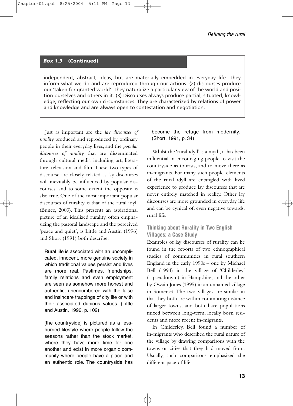#### *Box 1.3* **(Continued)**

independent, abstract, ideas, but are materially embedded in everyday life. They inform what we do and are reproduced through our actions. (2) discourses produce our 'taken for granted world'. They naturalize a particular view of the world and position ourselves and others in it. (3) Discourses always produce partial, situated, knowledge, reflecting our own circumstances. They are characterized by relations of power and knowledge and are always open to contestation and negotiation.

Just as important are the *lay discourses of rurality* produced and reproduced by ordinary people in their everyday lives, and the *popular discourses of rurality* that are disseminated through cultural media including art, literature, television and film. These two types of discourse are closely related as lay discourses will inevitably be influenced by popular discourses, and to some extent the opposite is also true. One of the most important popular discourses of rurality is that of the rural idyll (Bunce, 2003). This presents an aspirational picture of an idealized rurality, often emphasizing the pastoral landscape and the perceived 'peace and quiet', as Little and Austin (1996) and Short (1991) both describe:

Rural life is associated with an uncomplicated, innocent, more genuine society in which traditional values persist and lives are more real. Pastimes, friendships, family relations and even employment are seen as somehow more honest and authentic, unencumbered with the false and insincere trappings of city life or with their associated dubious values. (Little and Austin, 1996, p. 102)

[the countryside] is pictured as a lesshurried lifestyle where people follow the seasons rather than the stock market, where they have more time for one another and exist in more organic community where people have a place and an authentic role. The countryside has

#### become the refuge from modernity. (Short, 1991, p. 34)

Whilst the 'rural idyll' is a myth, it has been influential in encouraging people to visit the countryside as tourists, and to move there as in-migrants. For many such people, elements of the rural idyll are entangled with lived experience to produce lay discourses that are never entirely matched in reality. Other lay discourses are more grounded in everyday life and can be cynical of, even negative towards, rural life.

# **Thinking about Rurality in Two English Villages: a Case Study**

Examples of lay discourses of rurality can be found in the reports of two ethnographical studies of communities in rural southern England in the early 1990s – one by Michael Bell (1994) in the village of 'Childerley' (a pseudonym) in Hampshire, and the other by Owain Jones (1995) in an unnamed village in Somerset. The two villages are similar in that they both are within commuting distance of larger towns, and both have populations mixed between long-term, locally born residents and more recent in-migrants.

In Childerley, Bell found a number of in-migrants who described the rural nature of the village by drawing comparisons with the towns or cities that they had moved from. Usually, such comparisons emphasized the different pace of life: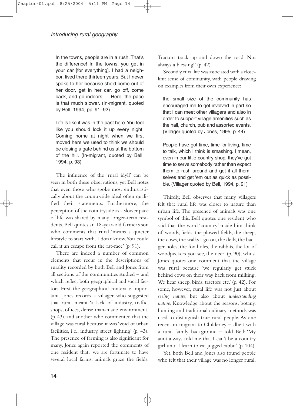In the towns, people are in a rush. That's the difference! In the towns, you get in your car [for everything]. I had a neighbor, lived there thirteen years. But I never spoke to her because she'd come out of her door, get in her car, go off, come back, and go indoors … Here, the pace is that much slower. (In-migrant, quoted by Bell, 1994, pp. 91–92)

Life is like it was in the past here.You feel like you should lock it up every night. Coming home at night when we first moved here we used to think we should be closing a gate behind us at the bottom of the hill. (In-migrant, quoted by Bell, 1994, p. 93)

The influence of the 'rural idyll' can be seen in both these observations, yet Bell notes that even those who spoke most enthusiastically about the countryside ideal often qualified their statements. Furthermore, the perception of the countryside as a slower pace of life was shared by many longer-term residents. Bell quotes an 18-year-old farmer's son who comments that rural 'means a quieter lifestyle to start with. I don't know.You could call it an escape from the rat-race' (p. 91).

There are indeed a number of common elements that recur in the descriptions of rurality recorded by both Bell and Jones from all sections of the communities studied – and which reflect both geographical and social factors. First, the geographical context is important. Jones records a villager who suggested that rural meant 'a lack of industry, traffic, shops, offices, dense man-made environment' (p. 43), and another who commented that the village was rural because it was 'void of urban facilities, i.e., industry, street lighting' (p. 43). The presence of farming is also significant for many, Jones again reported the comments of one resident that, 'we are fortunate to have several local farms, animals graze the fields. Tractors track up and down the road. Not always a blessing!' (p. 42).

Secondly, rural life was associated with a closeknit sense of community, with people drawing on examples from their own experience:

the small size of the community has encouraged me to get involved in part so that I can meet other villagers and also in order to support village amenities such as the hall, church, pub and assorted events. (Villager quoted by Jones, 1995, p. 44)

People have got time, time for living, time to talk, which I think is smashing. I mean, even in our little country shop, they've got time to serve somebody rather than expect them to rush around and get it all themselves and get 'em out as quick as possible. (Villager quoted by Bell, 1994, p. 91)

Thirdly, Bell observes that many villagers felt that rural life was closer to nature than urban life. The presence of animals was one symbol of this. Bell quotes one resident who said that the word 'country' made him think of 'woods, fields, the plowed fields, the sheep, the cows, the walks I go on, the dells, the badger holes, the fox holes, the rabbits, the lot of woodpeckers you see, the deer' (p. 90); whilst Jones quotes one comment that the village was rural because 'we regularly get stuck behind cows on their way back from milking. We hear sheep, birds, tractors etc.' (p. 42). For some, however, rural life was not just about *seeing nature*, but also about *understanding nature*. Knowledge about the seasons, botany, hunting and traditional culinary methods was used to distinguish true rural people. As one recent in-migrant to Childerley – albeit with a rural family background – told Bell: 'My aunt always told me that I can't be a country girl until I learn to eat jugged rabbit' (p. 104).

Yet, both Bell and Jones also found people who felt that their village was no longer rural,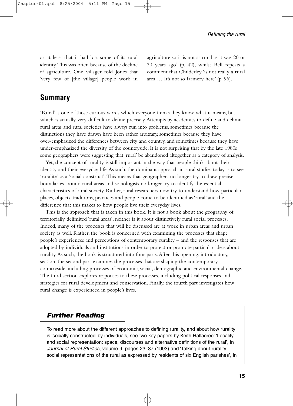Defining the rural

or at least that it had lost some of its rural identity.This was often because of the decline of agriculture. One villager told Jones that 'very few of [the village] people work in agriculture so it is not as rural as it was 20 or 30 years ago' (p. 42), whilst Bell repeats a comment that Childerley 'is not really a rural area … It's not so farmery here' (p. 96).

# **Summary**

'Rural' is one of those curious words which everyone thinks they know what it means, but which is actually very difficult to define precisely.Attempts by academics to define and delimit rural areas and rural societies have always run into problems, sometimes because the distinctions they have drawn have been rather arbitrary, sometimes because they have over-emphasized the differences between city and country, and sometimes because they have under-emphasized the diversity of the countryside. It is not surprising that by the late 1980s some geographers were suggesting that 'rural' be abandoned altogether as a category of analysis.

Yet, the concept of rurality is still important in the way that people think about their identity and their everyday life.As such, the dominant approach in rural studies today is to see 'rurality' as a 'social construct'.This means that geographers no longer try to draw precise boundaries around rural areas and sociologists no longer try to identify the essential characteristics of rural society. Rather, rural researchers now try to understand how particular places, objects, traditions, practices and people come to be identified as 'rural' and the difference that this makes to how people live their everyday lives.

This is the approach that is taken in this book. It is not a book about the geography of territorially delimited 'rural areas', neither is it about distinctively rural social processes. Indeed, many of the processes that will be discussed are at work in urban areas and urban society as well. Rather, the book is concerned with examining the processes that shape people's experiences and perceptions of contemporary rurality – and the responses that are adopted by individuals and institutions in order to protect or promote particular ideas about rurality.As such, the book is structured into four parts.After this opening, introductory, section, the second part examines the processes that are shaping the contemporary countryside, including processes of economic, social, demographic and environmental change. The third section explores responses to these processes, including political responses and strategies for rural development and conservation. Finally, the fourth part investigates how rural change is experienced in people's lives.

# **Further Reading**

To read more about the different approaches to defining rurality, and about how rurality is 'socially constructed' by individuals, see two key papers by Keith Halfacree: 'Locality and social representation: space, discourses and alternative definitions of the rural', in Journal of Rural Studies, volume 9, pages 23–37 (1993) and 'Talking about rurality: social representations of the rural as expressed by residents of six English parishes', in